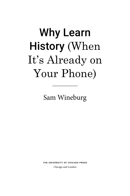# Why Learn History (When It's Already on Your Phone)

Sam Wineburg

The UniversiTy of ChiCago Press

Chicago and London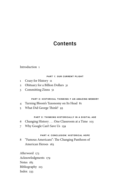# Contents

## Introduction 1

#### ParT 1: oUr CUrrenT PlighT

- 1 Crazy for History 11
- 2 Obituary for a Billion Dollars 31
- 3 Committing Zinns 51

### ParT 2: hisToriCal Thinking ≠ an amazing memory

- 4 Turning Bloom's Taxonomy on Its Head 81
- 5 What Did George Think? 93

#### ParT 3: Thinking hisToriCally in a DigiTal age

- 6 Changing History . . . One Classroom at a Time 103
- 7 Why Google Can't Save Us 139

#### PART 4: CONCLUSION: HISTORICAL HOPE

8 "Famous Americans": The Changing Pantheon of American Heroes 163

Afterword 173 Acknowledgments 179 Notes 183 Bibliography 213 Index 233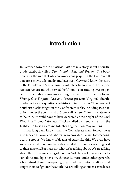## Introduction

In October 2010 the *Washington Post* broke a story about a fourthgrade textbook called *Our Virginia, Past and Present*. The book describes the role that African Americans played in the Civil War. If you are a movie aficionado and have seen *Glory* and know the story of the Fifty- Fourth Massachusetts Volunteer Infantry and the 180,000 African Americans who served the Union— constituting over 10 percent of the fighting force— you might expect that to be the focus. Wrong. *Our Virginia, Past and Present* presents Virginia's fourthgraders with some questionable historical information: "Thousands of Southern blacks fought in the Confederate ranks, including two battalions under the command of Stonewall Jackson."1 For this statement to be true, it would have to have occurred at the height of the Civil War, since Thomas "Stonewall" Jackson died by friendly fire from the Eighteenth North Carolina Infantry Regiment on May 10, 1863.

It has long been known that the Confederate army forced slaves into service as cooks and laborers who provided backup for weaponsbearing troops. We know of dozens of cases like this. We even have some scattered photographs of slaves suited up in uniform sitting next to their masters. But that's not what we're talking about. We are talking about the formal mustering of *thousands* of black soldiers under Jackson alone and, by extension, thousands more under other generals, who trained them in weaponry, organized them into battalions, and taught them to fight for the South. We are talking about enslaved black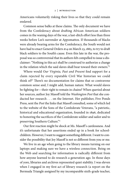Americans voluntarily risking their lives so that they could remain enslaved.

Common sense balks at these claims. The only document we have from the Confederacy about drafting African American soldiers comes in the waning days of the war, a last- ditch effort less than three weeks before Lee's surrender at Appomattox. If thousands of blacks were already bearing arms for the Confederacy, the South would not have had to enact General Orders #14 on March 23, 1865, to try to draft black soldiers to the South's cause. Even this late in the war, the proposal was so controversial that its authors felt compelled to issue a disclaimer: "Nothing in this act shall be construed to authorize a change in the relation which the said slaves shall bear toward their owners."2

Where would *Our Virginia, Past and Present* find support for a claim rejected by every reputable Civil War historian we could think of?3 There's no documentation for claims that so contravene common sense and, I might add, human nature. What would slaves be fighting for— their right to remain in chains? When queried about her sources, author Joy Masoff told the *Washington Post* that she conducted her research . . . on the Internet. Her publisher, Five Ponds Press, sent the *Post* the links that Masoff consulted, some of which led to the website of the Sons of the Confederate Veterans, "a patriotic, historical and educational organization, founded in 1896, dedicated to honoring the sacrifices of the Confederate soldier and sailor and to preserving Southern Culture."4

Our first reaction might be shock at Ms. Masoff's carelessness. And it's unfortunate that her assertions ended up in a book for schoolchildren. However, I want to suggest something different. I want to consider the possibility that Joy Masoff is not so different from you or me.

We live in an age when going to the library means turning on our laptops and making sure we have a wireless connection. Being on the Web and searching for information is radically different from how anyone learned to do research a generation ago. In those days of yore, libraries and archives represented quiet stability. I was eleven when I engaged in my first act of library research (a report on the Bermuda Triangle assigned by my incomparable sixth- grade teacher,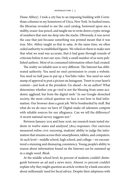Diane Abbey). I took a city bus to an imposing building with Corinthian columns in my hometown of Utica, New York. In hushed tones, the librarian revealed to me the card catalog, bestowed upon me a stubby, eraser- less pencil, and taught me to write down cryptic strings of numbers that sent me deep into the stacks. Obviously, it was never the case that just because something was printed meant that it was true. Mrs. Abbey taught us that in 1969. At the same time, we often ceded authority to established figures. We relied on them to make sure that what we read was accurate, that it had gone through rounds of criticism before it met our eyes. Only a small number of us were published authors. Most of us consumed information others had created.

The reality we inhabit now is very different. The Internet has obliterated authority. You need no one's permission to create a website. You need no hall pass to put up a YouTube video. You need no one's stamp of approval to post a picture on Instagram. Tweet to your heart's content— just look at the president. Go ahead— be an author! What determines whether you go viral is not the blessing from some academic egghead, but from the digital mob.<sup>5</sup> In our Google-drenched society, the most critical question we face is not how to find information. Our browser does a great job. We're bombarded by stuff. But what do we do once we have it? Digital snake oil salesmen compete with reliable sources for our allegiance. Can we tell the difference? A recent national survey suggests not.<sup>6</sup>

Between January 2015 and June 2016, my research team tested students in twelve states and analyzed 7,804 responses. Our exercises measured *online civic reasoning*, students' ability to judge the information that streams across their smartphones, tablets, and computers. At each level— middle school, high school, and college— we encountered a stunning and dismaying consistency. Young people's ability to reason about information found on the Internet can be summed up in a single word: *Bleak*.

At the middle school level, 82 percent of students couldn't distinguish between an ad and a news story. Almost 70 percent couldn't explain why they might question an article written by a bank executive about millennials' need for fiscal advice. Despite their adeptness with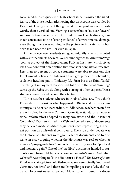#### 4 | INTRODUCTION

social media, three- quarters of high school students missed the significance of the blue checkmark showing that an account was verified by Facebook. Over 30 percent thought a fake news post was *more* trustworthy than a verified one. Viewing a screenshot of "nuclear flowers" supposedly taken near the site of the Fukushima Daiichi disaster, four in ten considered it to be "strong evidence" of environmental damage, even though there was nothing in the picture to indicate that it had been taken near the site— or even in Japan.

At the college level, students struggled mightily when confronted with a site that hid its backers. We sent undergrads to MinimumWage .com, a project of the Employment Policies Institute, which styles itself as a nonprofit organization that sponsors nonpartisan research. Less than 10 percent of college students were able to suss out that Employment Policies Institute was a front group for a DC lobbyist or, as *Salon*'s headline put it, "Industry P.R. Firm Poses as Think Tank!" Searching "Employment Policies Institute" with the word "funding" turns up the *Salon* article along with a string of other exposés.7 Most students never moved beyond the site itself.

It's not just the students who are in trouble. We all are. If you think I'm an alarmist, consider what happened in Rialto, California, a community outside of San Bernardino. Middle school teachers created an exam inspired by the new Common Core State Standards, an educational reform effort adopted by forty-two states and the District of Columbia.8 Teachers surfed the Web and culled a set of documents they believed made "credible" arguments, each representing a different position on a historical controversy. The issue under debate was the Holocaust. Students were given a set of documents and told to write an essay arguing whether the Holocaust was real or whether it was a "propaganda tool" concocted by world Jewry for "political and monetary gain."9 One of the "credible" documents handed to students came from biblebelievers .com .au, an anti- Semitic Australian website.10 According to "Is the Holocaust a Hoax?" *The Diary of Anne Frank* was a fake; pictures of piled- up corpses were actually "murdered Germans, not Jews"; and there are "compelling reasons [why the] socalled Holocaust never happened." Many students found this docu-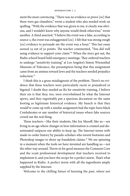ment the most convincing. "There was no evidence or prove [*sic*] that there were gas chambers," wrote a student who also needed work on spelling. "With the evidence that was given to me, it clearly was obvious, and I wouldn't know why anyone would think otherwise," wrote another. A third asserted, "I believe the event was a fake, according to source 2, the event was exhaggerated [*sic*]. I felt that was strong enogh [sic] evidence to persuade me the event was a hoax." This last essay earned 23 out of 30 points. The teacher commented, "You did well using evidence to support your claim."<sup>11</sup> When the story got out, the Rialto school board held emergency meetings. They ordered teachers to undergo "sensitivity training" at Los Angeles's Simon Wiesenthal Museum of Tolerance, the presumption being that this assignment came from an animus toward Jews and the teachers needed prejudice reduction.12

I think this is a gross misdiagnosis of the problem. There's no evidence that these teachers were particularly racist or prejudiced or bigoted. I doubt they needed an Rx for sensitivity training. I believe their sin is that they, too, were overwhelmed by what the Internet spews, and they regrettably put a spurious document on the same footing as legitimate historical evidence. My hunch is that they would've come up with a similar assignment had the topic been black Confederates or any number of historical issues where fake sources crowd out the real thing.

These teachers— like their students, like Joy Masoff, like us— are living in an age where changes in how information is created and disseminated outpaces our ability to keep up. The Internet teems with made- to- order history by pseudo- scholars who invent footnotes and Photoshop images to shore up fraudulent claims.13 We are spinning in a moment when the tools we have invented are handling us— not the other way around. Throw in for good measure the Common Core and the scant professional development that teachers received to implement it, and you have the recipe for a perfect storm. That's what happened in Rialto. A perfect storm with all the ingredients amply supplied by the Internet.

Welcome to the chilling future of learning the past, where not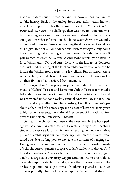just our students but our teachers and textbook authors fall victim to fake history. Back in the analog Stone Age, information literacy meant learning to decipher the hieroglyphics of the *Readers' Guide to Periodical Literature*. The challenge then was how to locate information. Gasping for air under an information overload, we face a different question: What information should be *believed*? We are woefully unprepared to answer. Instead of teaching the skills needed to navigate this digital free-for-all, our educational system trudges along doing the same thing but expecting a different result. Not that long ago, if you wanted to examine George Washington's letters, you'd have to fly to Washington, DC, and curry favor with the Library of Congress archivist. Today, sitting at the kitchen table, twelve- year- olds can be inside the Washington papers in a few clicks. But in school, these same twelve-year-olds take tests on minutiae accessed more quickly on their iPhones than retrieved from memory.

An exaggeration? Sharpen your pencil and identify the achievements of Gabriel Prosser and Benjamin Gitlow. Prosser fomented a failed slave revolt in 1800. Gitlow published a socialist newsletter and was convicted under New York's Criminal Anarchy Law in 1920. Few of us could say anything intelligent— forget intelligent, *anything* about either. Yet both names appear on a test of historical facts given to high school students, the National Assessment of Educational Progress.14 That's right, Educational *Progress*.

Our read- the- chapter- and- answer- the- questions- in- the- back pedagogy has a familiar coziness, but it exacts a heavy price. Teaching students to separate fact from fiction by reading textbook narratives purged of ambiguity is akin to preparing a swimmer who's never ventured outside a wading pool to navigate the torrents of a raging sea. Facing waves of claim and counterclaim (that is, the world *outside* of school), current practice prepares today's students to drown. And they do so in droves. A week after the story broke about Rialto, I gave a talk at a large state university. My presentation was in one of those old- style amphitheater lecture halls, where the professor stands in the orchestra pit and looks up at rows of students. I peered out at a sea of faces partially obscured by open laptops. When I told the story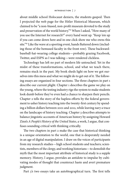about middle school Holocaust deniers, the students gasped. Then I projected the web page for the Hitler Historical Museum, which claimed to be "a non-biased, non-profit museum devoted to the study and preservation of the world history."15 When I asked, "How many of you use the Internet for research?" every hand went up. "Keep 'em up if you can come down here and in one click show me who owns this site."<sup>16</sup> Like the wave at a sporting event, hands fluttered down (including those of the bemused faculty in the front row). These backwardbaseball- hat- wearing college students— probably grazing Facebook, Twitter, and ESPN as I was talking— were rendered clickless.

Technology has left no part of modern life untouched. Yet in the midst of these transformations, school, and what we teach there, remains stuck in the past. My book sheds light on how we got ourselves into this mess and what we might do to get out of it. The following essays are organized in four sections. The three chapters in part 1 describe our current plight. Chapter 1 describes the game we play on the young, where the testing industry rigs the system to make students look dumb before they've even had a chance to sharpen their pencils. Chapter 2 tells the story of the hapless efforts by the federal government to usher history teaching into the twenty- first century by spending a billion dollars between 2001 and 2012, while leaving nary a trace on the landscape of history teaching. Chapter 3 describes attempts to balance jingoistic accounts of American history by assigning Howard Zinn's *A People's History of the United States*, a work, I argue, that confuses sounding critical with thinking critically.

The two chapters in part 2 make the case that historical thinking is a unique orientation to the world, one that is desperately needed in an age of digital manipulation. I draw on the voices of participants from my research studies— high school students and teachers; scientists, members of the clergy, and working historians— to demolish the myth that the most important attribute of historical study is a supple memory. History, I argue, provides an antidote to impulse by cultivating modes of thought that counteract haste and avert premature judgment.

Part 3's two essays take an autobiographical turn. The first tells